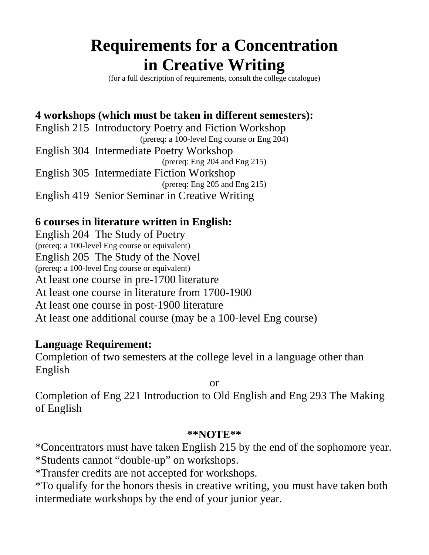# **Requirements for a Concentration in Creative Writing**

(for a full description of requirements, consult the college catalogue)

### **4 workshops (which must be taken in different semesters):**

English 215 Introductory Poetry and Fiction Workshop (prereq: a 100-level Eng course or Eng 204) English 304 Intermediate Poetry Workshop (prereq: Eng 204 and Eng 215) English 305 Intermediate Fiction Workshop (prereq: Eng 205 and Eng 215) English 419 Senior Seminar in Creative Writing

### **6 courses in literature written in English:**

English 204 The Study of Poetry (prereq: a 100-level Eng course or equivalent) English 205 The Study of the Novel (prereq: a 100-level Eng course or equivalent) At least one course in pre-1700 literature At least one course in literature from 1700-1900 At least one course in post-1900 literature At least one additional course (may be a 100-level Eng course)

#### **Language Requirement:**

Completion of two semesters at the college level in a language other than English

or

Completion of Eng 221 Introduction to Old English and Eng 293 The Making of English

#### **\*\*NOTE\*\***

\*Concentrators must have taken English 215 by the end of the sophomore year. \*Students cannot "double-up" on workshops.

\*Transfer credits are not accepted for workshops.

\*To qualify for the honors thesis in creative writing, you must have taken both intermediate workshops by the end of your junior year.